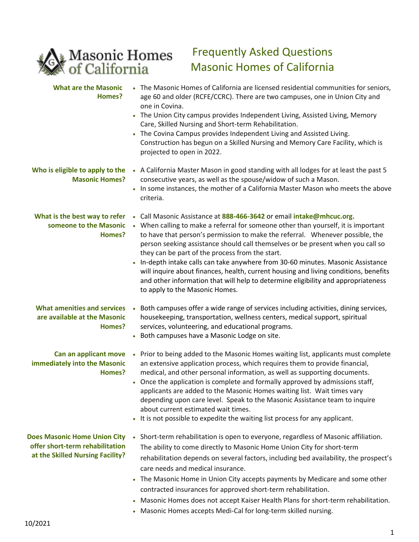

## Frequently Asked Questions Masonic Homes of California

| <b>What are the Masonic</b><br>Homes?                                                                      | • The Masonic Homes of California are licensed residential communities for seniors,<br>age 60 and older (RCFE/CCRC). There are two campuses, one in Union City and<br>one in Covina.<br>• The Union City campus provides Independent Living, Assisted Living, Memory<br>Care, Skilled Nursing and Short-term Rehabilitation.<br>The Covina Campus provides Independent Living and Assisted Living.<br>Construction has begun on a Skilled Nursing and Memory Care Facility, which is<br>projected to open in 2022.                                                                                                                                                                            |
|------------------------------------------------------------------------------------------------------------|-----------------------------------------------------------------------------------------------------------------------------------------------------------------------------------------------------------------------------------------------------------------------------------------------------------------------------------------------------------------------------------------------------------------------------------------------------------------------------------------------------------------------------------------------------------------------------------------------------------------------------------------------------------------------------------------------|
| Who is eligible to apply to the<br><b>Masonic Homes?</b>                                                   | . A California Master Mason in good standing with all lodges for at least the past 5<br>consecutive years, as well as the spouse/widow of such a Mason.<br>. In some instances, the mother of a California Master Mason who meets the above<br>criteria.                                                                                                                                                                                                                                                                                                                                                                                                                                      |
| What is the best way to refer<br>someone to the Masonic<br>Homes?                                          | Call Masonic Assistance at 888-466-3642 or email intake@mhcuc.org.<br>$\bullet$<br>• When calling to make a referral for someone other than yourself, it is important<br>to have that person's permission to make the referral. Whenever possible, the<br>person seeking assistance should call themselves or be present when you call so<br>they can be part of the process from the start.<br>In-depth intake calls can take anywhere from 30-60 minutes. Masonic Assistance<br>will inquire about finances, health, current housing and living conditions, benefits<br>and other information that will help to determine eligibility and appropriateness<br>to apply to the Masonic Homes. |
| <b>What amenities and services</b><br>are available at the Masonic<br>Homes?                               | Both campuses offer a wide range of services including activities, dining services,<br>housekeeping, transportation, wellness centers, medical support, spiritual<br>services, volunteering, and educational programs.<br>• Both campuses have a Masonic Lodge on site.                                                                                                                                                                                                                                                                                                                                                                                                                       |
| Can an applicant move<br>immediately into the Masonic<br>Homes?                                            | Prior to being added to the Masonic Homes waiting list, applicants must complete<br>$\bullet$<br>an extensive application process, which requires them to provide financial,<br>medical, and other personal information, as well as supporting documents.<br>• Once the application is complete and formally approved by admissions staff,<br>applicants are added to the Masonic Homes waiting list. Wait times vary<br>depending upon care level. Speak to the Masonic Assistance team to inquire<br>about current estimated wait times.<br>• It is not possible to expedite the waiting list process for any applicant.                                                                    |
| <b>Does Masonic Home Union City</b><br>offer short-term rehabilitation<br>at the Skilled Nursing Facility? | Short-term rehabilitation is open to everyone, regardless of Masonic affiliation.<br>The ability to come directly to Masonic Home Union City for short-term<br>rehabilitation depends on several factors, including bed availability, the prospect's<br>care needs and medical insurance.<br>The Masonic Home in Union City accepts payments by Medicare and some other<br>contracted insurances for approved short-term rehabilitation.<br>Masonic Homes does not accept Kaiser Health Plans for short-term rehabilitation.<br>$\bullet$<br>Masonic Homes accepts Medi-Cal for long-term skilled nursing.                                                                                    |